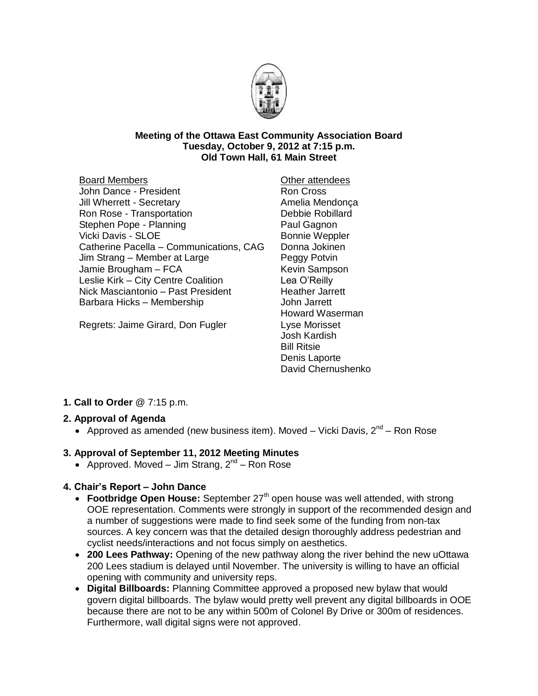

#### **Meeting of the Ottawa East Community Association Board Tuesday, October 9, 2012 at 7:15 p.m. Old Town Hall, 61 Main Street**

Board Members John Dance - President Jill Wherrett - Secretary Ron Rose - Transportation Stephen Pope - Planning Vicki Davis - SLOE Catherine Pacella – Communications, CAG Jim Strang – Member at Large Jamie Brougham – FCA Leslie Kirk – City Centre Coalition Nick Masciantonio – Past President Barbara Hicks – Membership

Regrets: Jaime Girard, Don Fugler

Other attendees Ron Cross Amelia Mendonça Debbie Robillard Paul Gagnon Bonnie Weppler Donna Jokinen Peggy Potvin Kevin Sampson Lea O'Reilly Heather Jarrett John Jarrett Howard Waserman Lyse Morisset Josh Kardish Bill Ritsie Denis Laporte David Chernushenko

# **1. Call to Order** @ 7:15 p.m.

#### **2. Approval of Agenda**

• Approved as amended (new business item). Moved – Vicki Davis,  $2^{nd}$  – Ron Rose

#### **3. Approval of September 11, 2012 Meeting Minutes**

• Approved. Moved – Jim Strang,  $2^{nd}$  – Ron Rose

### **4. Chair's Report – John Dance**

- Footbridge Open House: September 27<sup>th</sup> open house was well attended, with strong OOE representation. Comments were strongly in support of the recommended design and a number of suggestions were made to find seek some of the funding from non-tax sources. A key concern was that the detailed design thoroughly address pedestrian and cyclist needs/interactions and not focus simply on aesthetics.
- **200 Lees Pathway:** Opening of the new pathway along the river behind the new uOttawa 200 Lees stadium is delayed until November. The university is willing to have an official opening with community and university reps.
- **Digital Billboards:** Planning Committee approved a proposed new bylaw that would govern digital billboards. The bylaw would pretty well prevent any digital billboards in OOE because there are not to be any within 500m of Colonel By Drive or 300m of residences. Furthermore, wall digital signs were not approved.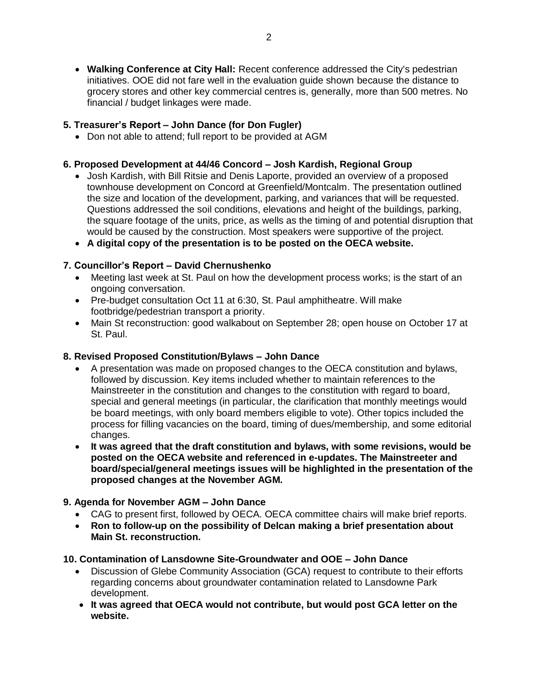**Walking Conference at City Hall:** Recent conference addressed the City's pedestrian initiatives. OOE did not fare well in the evaluation guide shown because the distance to grocery stores and other key commercial centres is, generally, more than 500 metres. No financial / budget linkages were made.

### **5. Treasurer's Report – John Dance (for Don Fugler)**

• Don not able to attend; full report to be provided at AGM

### **6. Proposed Development at 44/46 Concord – Josh Kardish, Regional Group**

- Josh Kardish, with Bill Ritsie and Denis Laporte, provided an overview of a proposed townhouse development on Concord at Greenfield/Montcalm. The presentation outlined the size and location of the development, parking, and variances that will be requested. Questions addressed the soil conditions, elevations and height of the buildings, parking, the square footage of the units, price, as wells as the timing of and potential disruption that would be caused by the construction. Most speakers were supportive of the project.
- **A digital copy of the presentation is to be posted on the OECA website.**

## **7. Councillor's Report – David Chernushenko**

- Meeting last week at St. Paul on how the development process works; is the start of an ongoing conversation.
- Pre-budget consultation Oct 11 at 6:30, St. Paul amphitheatre. Will make footbridge/pedestrian transport a priority.
- Main St reconstruction: good walkabout on September 28; open house on October 17 at St. Paul.

### **8. Revised Proposed Constitution/Bylaws – John Dance**

- A presentation was made on proposed changes to the OECA constitution and bylaws, followed by discussion. Key items included whether to maintain references to the Mainstreeter in the constitution and changes to the constitution with regard to board, special and general meetings (in particular, the clarification that monthly meetings would be board meetings, with only board members eligible to vote). Other topics included the process for filling vacancies on the board, timing of dues/membership, and some editorial changes.
- **It was agreed that the draft constitution and bylaws, with some revisions, would be posted on the OECA website and referenced in e-updates. The Mainstreeter and board/special/general meetings issues will be highlighted in the presentation of the proposed changes at the November AGM.**

# **9. Agenda for November AGM – John Dance**

- CAG to present first, followed by OECA. OECA committee chairs will make brief reports.
- **Ron to follow-up on the possibility of Delcan making a brief presentation about Main St. reconstruction.**

### **10. Contamination of Lansdowne Site-Groundwater and OOE – John Dance**

- Discussion of Glebe Community Association (GCA) request to contribute to their efforts regarding concerns about groundwater contamination related to Lansdowne Park development.
- **It was agreed that OECA would not contribute, but would post GCA letter on the website.**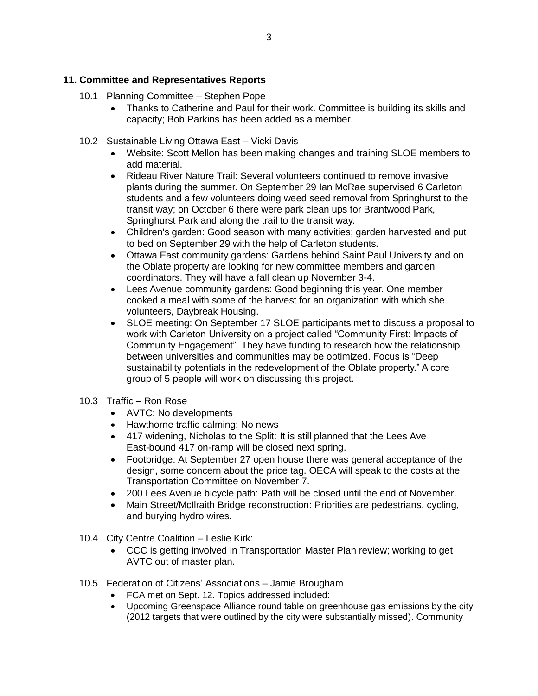#### **11. Committee and Representatives Reports**

- 10.1 Planning Committee Stephen Pope
	- Thanks to Catherine and Paul for their work. Committee is building its skills and capacity; Bob Parkins has been added as a member.
- 10.2 Sustainable Living Ottawa East Vicki Davis
	- Website: Scott Mellon has been making changes and training SLOE members to add material.
	- Rideau River Nature Trail: Several volunteers continued to remove invasive plants during the summer. On September 29 Ian McRae supervised 6 Carleton students and a few volunteers doing weed seed removal from Springhurst to the transit way; on October 6 there were park clean ups for Brantwood Park, Springhurst Park and along the trail to the transit way.
	- Children's garden: Good season with many activities; garden harvested and put to bed on September 29 with the help of Carleton students.
	- Ottawa East community gardens: Gardens behind Saint Paul University and on the Oblate property are looking for new committee members and garden coordinators. They will have a fall clean up November 3-4.
	- Lees Avenue community gardens: Good beginning this year. One member cooked a meal with some of the harvest for an organization with which she volunteers, Daybreak Housing.
	- SLOE meeting: On September 17 SLOE participants met to discuss a proposal to work with Carleton University on a project called "Community First: Impacts of Community Engagement". They have funding to research how the relationship between universities and communities may be optimized. Focus is "Deep sustainability potentials in the redevelopment of the Oblate property." A core group of 5 people will work on discussing this project.
- 10.3 Traffic Ron Rose
	- AVTC: No developments
	- Hawthorne traffic calming: No news
	- 417 widening, Nicholas to the Split: It is still planned that the Lees Ave East-bound 417 on-ramp will be closed next spring.
	- Footbridge: At September 27 open house there was general acceptance of the design, some concern about the price tag. OECA will speak to the costs at the Transportation Committee on November 7.
	- 200 Lees Avenue bicycle path: Path will be closed until the end of November.
	- Main Street/McIlraith Bridge reconstruction: Priorities are pedestrians, cycling, and burying hydro wires.
- 10.4 City Centre Coalition Leslie Kirk:
	- CCC is getting involved in Transportation Master Plan review; working to get AVTC out of master plan.
- 10.5 Federation of Citizens' Associations Jamie Brougham
	- FCA met on Sept. 12. Topics addressed included:
	- Upcoming Greenspace Alliance round table on greenhouse gas emissions by the city (2012 targets that were outlined by the city were substantially missed). Community